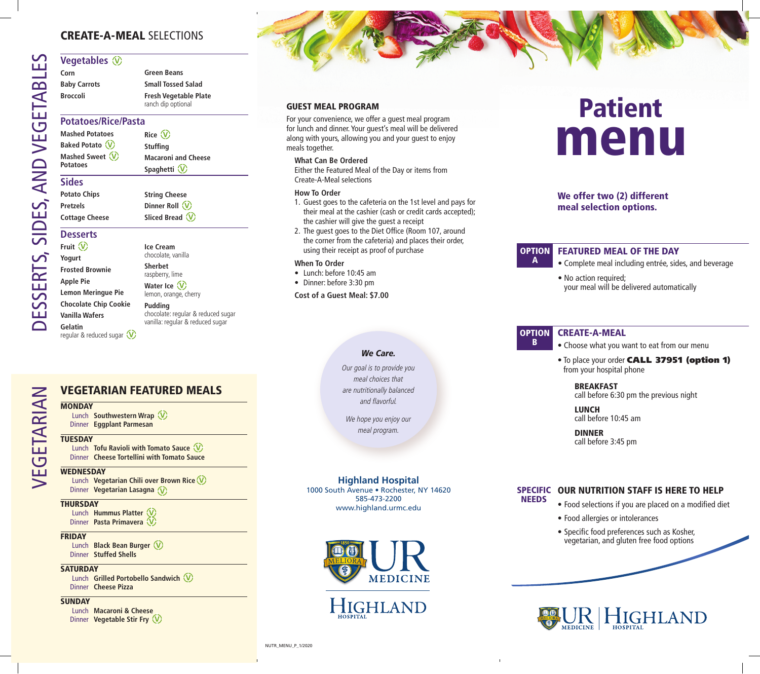## CREATE-A-MEAL SELECTIONS

#### **Vegetables**  $\circledcirc$

**Corn Baby Carrots Broccoli Green Beans Small Tossed Salad Fresh Vegetable Plate** ranch dip optional

#### **Potatoes/Rice/Pasta**

**Mashed Potatoes Baked Potato Mashed Sweet Rice Stuffing Macaroni and Cheese Spaghetti** 

> **String Cheese Dinner Roll Sliced Bread**

# **Desserts**

**Fruit Yogurt Frosted Brownie Apple Pie Lemon Meringue Pie Chocolate Chip Cookie Vanilla Wafers Gelatin**  regular & reduced sugar  $\bigcirc$ 

**Ice Cream** chocolate, vanilla **Sherbet** raspberry, lime **Water Ice**  lemon, orange, cherry

**Pudding** chocolate: regular & reduced sugar vanilla: regular & reduced sugar

# VEGETARIAN FEATURED MEALS

# EGETARIAN VEGETARIAN **MONDAY**

Lunch **Southwestern Wrap**  Dinner **Eggplant Parmesan**

#### **TUESDAY**

Lunch **Tofu Ravioli with Tomato Sauce**  Dinner **Cheese Tortellini with Tomato Sauce**

#### **WEDNESDAY**

Lunch **Vegetarian Chili over Brown Rice** Dinner **Vegetarian Lasagna**

#### **THURSDAY**

Lunch **Hummus Platter**  Dinner **Pasta Primavera** 

#### **FRIDAY**

Lunch **Black Bean Burger**  Dinner **Stuffed Shells**

#### **SATURDAY**

Lunch **Grilled Portobello Sandwich**  Dinner **Cheese Pizza**

#### **SUNDAY**

Lunch **Macaroni & Cheese** Dinner **Vegetable Stir Fry** 

#### GUEST MEAL PROGRAM

For your convenience, we offer a guest meal program for lunch and dinner. Your guest's meal will be delivered along with yours, allowing you and your guest to enjoy meals together.

#### **What Can Be Ordered**

Either the Featured Meal of the Day or items from Create-A-Meal selections

#### **How To Order**

- 1. Guest goes to the cafeteria on the 1st level and pays for their meal at the cashier (cash or credit cards accepted); the cashier will give the guest a receipt
- 2. The guest goes to the Diet Office (Room 107, around the corner from the cafeteria) and places their order, using their receipt as proof of purchase

**Highland Hospital** 1000 South Avenue • Rochester, NY 14620 585-473-2200 www.highland.urmc.edu

HIGHLAND

**MEDICINE** 

*We Care.* 

Our goal is to provide you meal choices that are nutritionally balanced and flavorful.

We hope you enjoy our meal program.

#### **When To Order**

- Lunch: before 10:45 am
- Dinner: before 3:30 pm

**Cost of a Guest Meal: \$7.00**

# menu Patient

## We offer two (2) different meal selection options.

#### FEATURED MEAL OF THE DAY OPTION

- Complete meal including entrée, sides, and beverage
- No action required; your meal will be delivered automatically

#### CREATE-A-MEAL **OPTION** B

A

- Choose what you want to eat from our menu
- To place your order CALL 37951 (option 1) from your hospital phone

#### BREAKFAST

call before 6:30 pm the previous night

 LUNCH call before 10:45 am

 DINNER call before 3:45 pm

#### SPECIFIC OUR NUTRITION STAFF IS HERE TO HELP NEEDS

- Food selections if you are placed on a modified diet
- Food allergies or intolerances
- Specific food preferences such as Kosher, vegetarian, and gluten free food options